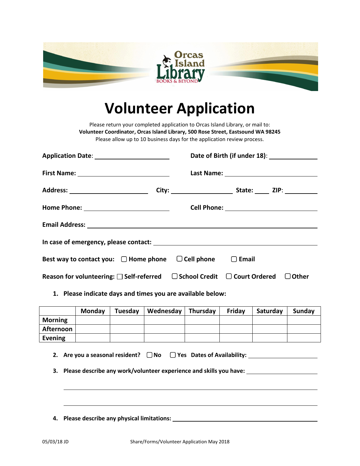

## **Volunteer Application**

Please return your completed application to Orcas Island Library, or mail to: **Volunteer Coordinator, Orcas Island Library, 500 Rose Street, Eastsound WA 98245** Please allow up to 10 business days for the application review process.

|                                                                                                  |  | Date of Birth (if under 18): ______________ |  |  |          |
|--------------------------------------------------------------------------------------------------|--|---------------------------------------------|--|--|----------|
|                                                                                                  |  |                                             |  |  |          |
|                                                                                                  |  |                                             |  |  |          |
|                                                                                                  |  |                                             |  |  |          |
|                                                                                                  |  |                                             |  |  |          |
|                                                                                                  |  |                                             |  |  |          |
| Best way to contact you: $\Box$ Home phone $\Box$ Cell phone $\Box$ Email                        |  |                                             |  |  |          |
| Reason for volunteering: $\square$ Self-referred $\square$ School Credit $\square$ Court Ordered |  |                                             |  |  | l JOther |

## **1. Please indicate days and times you are available below:**

|                | Monday | Tuesday | Wednesday | Thursday | Friday | Saturday | Sunday |
|----------------|--------|---------|-----------|----------|--------|----------|--------|
| <b>Morning</b> |        |         |           |          |        |          |        |
| Afternoon      |        |         |           |          |        |          |        |
| Evening        |        |         |           |          |        |          |        |

- **2.** Are you a seasonal resident?  $\Box$  No  $\Box$  Yes Dates of Availability:
- **3. Please describe any work/volunteer experience and skills you have:**
- **4. Please describe any physical limitations:**